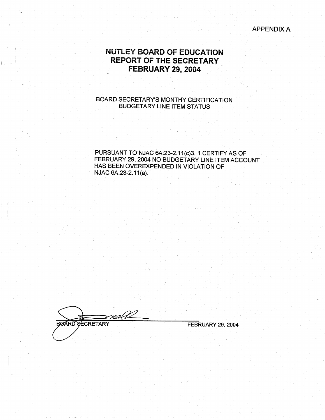APPENDIX A

# **NUTLEY BOARD OF EDUCATION REPORT OF THE SECRETARY FEBRUARY 29, 2004**

## BOARD SECRETARY'S MONTHY CERTIFICATION BUDGETARY LINE ITEM STATUS

PURSUANT TO NJAC 6A:23-2.11(c)3, 1 CERTIFY AS OF FEBRUARY 29, 2004 NO BUDGETARY LINE ITEM ACCOUNT. HAS BEEN OVEREXPENDED IN VIOLATION OF NJAC 6A:23-2.11(a).

<u>nall</u> **BØARD SECRETARY** 

 $\left| \begin{array}{c} \hline \hline \hline \hline \hline \end{array} \right|$  $\mathbb{R}^3$  -

FEBRUARY **29, 2004**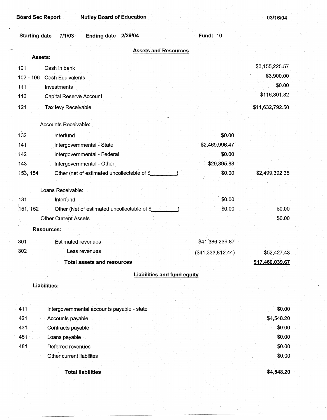**Board Sec Report Nutley Board of Education** 

**03/16/04** 

| <b>Starting date</b> | 7/1/03                      | <b>Ending date</b>                           | 2/29/04                                     |                                    | <b>Fund: 10</b>      |                 |
|----------------------|-----------------------------|----------------------------------------------|---------------------------------------------|------------------------------------|----------------------|-----------------|
|                      |                             |                                              |                                             | <b>Assets and Resources</b>        |                      |                 |
| Assets:<br>101       | Cash in bank                |                                              |                                             |                                    |                      | \$3,155,225.57  |
| $102 - 106$          | Cash Equivalents            |                                              |                                             |                                    |                      | \$3,900.00      |
| 111                  | Investments                 |                                              |                                             |                                    |                      | \$0.00          |
| 116                  | Capital Reserve Account     |                                              |                                             |                                    |                      | \$116,301.82    |
| 121                  | Tax levy Receivable         |                                              |                                             |                                    |                      | \$11,632,792.50 |
|                      | Accounts Receivable:        |                                              |                                             |                                    |                      |                 |
| 132                  | Interfund                   |                                              |                                             |                                    | \$0.00               |                 |
| 141                  |                             | Intergovernmental - State                    |                                             |                                    | \$2,469,996.47       |                 |
| 142                  |                             | Intergovernmental - Federal                  |                                             |                                    | \$0.00               |                 |
| 143                  |                             | Intergovernmental - Other                    |                                             |                                    | \$29,395.88          |                 |
| 153, 154             |                             | Other (net of estimated uncollectable of \$_ |                                             |                                    | \$0.00               | \$2,499,392.35  |
|                      |                             |                                              |                                             |                                    |                      |                 |
|                      | Loans Receivable:           |                                              |                                             |                                    |                      |                 |
| 131                  | Interfund                   |                                              |                                             |                                    | \$0.00               |                 |
| 151, 152             |                             |                                              | Other (Net of estimated uncollectable of \$ |                                    | \$0.00               | \$0.00          |
|                      | <b>Other Current Assets</b> |                                              |                                             |                                    |                      | \$0.00          |
|                      | <b>Resources:</b>           |                                              |                                             |                                    |                      |                 |
| 301                  | <b>Estimated revenues</b>   |                                              |                                             |                                    | \$41,386,239.87      |                 |
| 302                  |                             | Less revenues                                |                                             |                                    | ( \$41, 333, 812.44) | \$52,427.43     |
|                      |                             | <b>Total assets and resources</b>            |                                             |                                    |                      | \$17,460,039.67 |
|                      |                             |                                              |                                             | <b>Liabilities and fund equity</b> |                      |                 |
| Liabilities:         |                             |                                              |                                             |                                    |                      |                 |
|                      |                             |                                              |                                             |                                    |                      |                 |
| 411                  |                             | Intergovernmental accounts payable - state   |                                             |                                    |                      | \$0.00          |
| 421                  | Accounts payable            |                                              |                                             |                                    |                      | \$4,548.20      |
| 431                  | Contracts payable           |                                              |                                             |                                    |                      | \$0.00          |
| 451                  | Loans payable               |                                              |                                             |                                    |                      | \$0.00          |
| 481                  | Deferred revenues           |                                              |                                             |                                    |                      | \$0.00          |
|                      | Other current liabilites    |                                              |                                             |                                    |                      | \$0.00          |
|                      |                             |                                              |                                             |                                    |                      |                 |
|                      |                             | <b>Total liabilities</b>                     |                                             |                                    |                      | \$4,548.20      |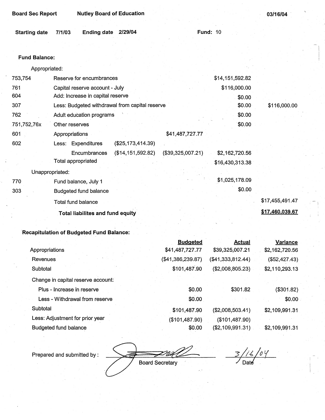| <b>Board Sec Report</b> | <b>Nutley Board of Education</b>               |                   |                   |                 | 03/16/04        |
|-------------------------|------------------------------------------------|-------------------|-------------------|-----------------|-----------------|
| <b>Starting date</b>    | Ending date 2/29/04<br>7/1/03                  |                   |                   | <b>Fund: 10</b> |                 |
|                         |                                                |                   |                   |                 |                 |
| <b>Fund Balance:</b>    |                                                |                   |                   |                 |                 |
| Appropriated:           |                                                |                   |                   |                 |                 |
| 753,754                 | Reserve for encumbrances                       |                   |                   | \$14,151,592.82 |                 |
| 761                     | Capital reserve account - July                 |                   |                   | \$116,000.00    |                 |
| 604                     | Add: Increase in capital reserve               |                   |                   | \$0.00          |                 |
| 307                     | Less: Budgeted withdrawal from capital reserve |                   |                   | \$0.00          | \$116,000.00    |
| 762                     | Adult education programs                       |                   |                   | \$0.00          |                 |
| 751,752,76x             | Other reserves                                 |                   |                   | \$0.00          |                 |
| 601                     | Appropriations                                 |                   | \$41,487,727.77   |                 |                 |
| 602                     | Less: Expenditures                             | (\$25,173,414.39) |                   |                 |                 |
|                         | Encumbrances                                   | (\$14,151,592.82) | (\$39,325,007.21) | \$2,162,720.56  |                 |
|                         | Total appropriated                             |                   |                   | \$16,430,313.38 |                 |
| Unappropriated:         |                                                |                   |                   |                 |                 |
| 770                     | Fund balance, July 1                           |                   |                   | \$1,025,178.09  |                 |
| 303                     | <b>Budgeted fund balance</b>                   |                   |                   | \$0.00          |                 |
|                         | Total fund balance                             |                   |                   |                 | \$17,455,491.47 |
|                         | <b>Total liabilites and fund equity</b>        |                   |                   |                 | \$17,460,039.67 |

# **Recapitulation of Budgeted Fund Balance:**

|                                    | <b>Budgeted</b>   | <b>Actual</b>     | Variance       |
|------------------------------------|-------------------|-------------------|----------------|
| Appropriations                     | \$41,487,727.77   | \$39,325,007.21   | \$2,162,720.56 |
| Revenues                           | (\$41,386,239.87) | (\$41,333,812.44) | (\$52,427.43)  |
| Subtotal                           | \$101,487.90      | (\$2,008,805.23)  | \$2,110,293.13 |
| Change in capital reserve account: |                   |                   |                |
| Plus - Increase in reserve         | \$0.00            | \$301.82          | (\$301.82)     |
| Less - Withdrawal from reserve     | \$0.00            |                   | \$0.00         |
| Subtotal                           | \$101,487.90      | (\$2,008,503.41)  | \$2,109,991.31 |
| Less: Adjustment for prior year    | (\$101,487.90)    | (\$101,487.90)    |                |
| Budgeted fund balance              | \$0.00            | (\$2,109,991.31)  | \$2,109,991.31 |

-Board Secretary

 $\frac{3}{\sqrt{16}}$  / 0  $\frac{9}{\sqrt{16}}$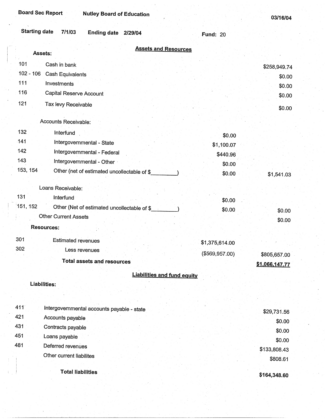I ! i

|  | 03/16/04 |  |
|--|----------|--|
|--|----------|--|

| <b>Starting date</b> | 7/1/03<br><b>Ending date</b>                | 2/29/04                            | Fund: 20       |                                |
|----------------------|---------------------------------------------|------------------------------------|----------------|--------------------------------|
| Assets:              |                                             | <b>Assets and Resources</b>        |                |                                |
| 101<br>Cash in bank  |                                             |                                    |                |                                |
| $102 - 106$          | Cash Equivalents                            |                                    |                | \$258,949.74                   |
| 111<br>Investments   |                                             |                                    |                | \$0.00                         |
| 116                  | Capital Reserve Account                     |                                    |                | \$0.00                         |
| 121                  | Tax levy Receivable                         |                                    |                | \$0.00                         |
|                      |                                             |                                    |                | \$0.00                         |
|                      | Accounts Receivable:                        |                                    |                |                                |
| 132                  | Interfund                                   |                                    | \$0.00         |                                |
| 141                  | Intergovernmental - State                   |                                    | \$1,100.07     |                                |
| 142                  | Intergovernmental - Federal                 |                                    | \$440.96       |                                |
| 143                  | Intergovernmental - Other                   |                                    | \$0.00         |                                |
| 153, 154             | Other (net of estimated uncollectable of \$ |                                    | \$0.00         | \$1,541.03                     |
| Loans Receivable:    |                                             |                                    |                |                                |
| 131                  | Interfund                                   |                                    | \$0.00         |                                |
| 151, 152             | Other (Net of estimated uncollectable of \$ |                                    | \$0.00         | \$0.00                         |
|                      | <b>Other Current Assets</b>                 |                                    |                | \$0.00                         |
| <b>Resources:</b>    |                                             |                                    |                |                                |
| 301                  | <b>Estimated revenues</b>                   |                                    | \$1,375,614.00 |                                |
| 302                  | Less revenues                               |                                    |                |                                |
|                      | <b>Total assets and resources</b>           |                                    | (\$569,957.00) | \$805,657.00<br>\$1,066,147.77 |
|                      |                                             | <b>Liabilities and fund equity</b> |                |                                |
| Liabilities:         |                                             |                                    |                |                                |
|                      |                                             |                                    |                |                                |
| 411                  |                                             |                                    |                |                                |
| 421                  | Intergovernmental accounts payable - state  |                                    |                | \$29,731.56                    |
| 431                  | Accounts payable                            |                                    |                | \$0.00                         |
| 451<br>Loans payable | Contracts payable                           |                                    |                | \$0.00                         |
| 481                  | Deferred revenues                           |                                    |                | \$0.00                         |
|                      | Other current liabilites                    |                                    |                | \$133,808.43                   |
|                      |                                             |                                    |                | \$808.61                       |
|                      | <b>Total liabilities</b>                    |                                    |                | \$164,348.60                   |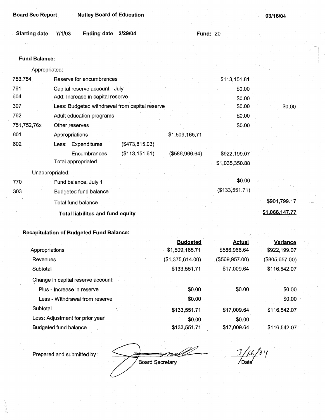| <b>Board Sec Report</b> | <b>Nutley Board of Education</b> |
|-------------------------|----------------------------------|
|-------------------------|----------------------------------|

| Starting date 7/1/03 | Ending date 2/29/04 |  | <b>Fund: 20</b> |  |
|----------------------|---------------------|--|-----------------|--|
|                      |                     |  |                 |  |

## **Fund Balance:**

Appropriated:

| 753,754     | Reserve for encumbrances                       |                 |                | \$113,151.81   |                |
|-------------|------------------------------------------------|-----------------|----------------|----------------|----------------|
| 761         | Capital reserve account - July                 |                 |                | \$0.00         |                |
| 604         | Add: Increase in capital reserve               |                 |                | \$0.00         |                |
| 307         | Less: Budgeted withdrawal from capital reserve |                 |                | \$0.00         | \$0.00         |
| 762         | Adult education programs                       |                 |                | \$0.00         |                |
| 751,752,76x | Other reserves                                 |                 |                | \$0.00         |                |
| 601         | Appropriations                                 |                 | \$1,509,165.71 |                |                |
| 602         | Less: Expenditures                             | (\$473,815.03)  |                |                |                |
|             | Encumbrances                                   | (\$113, 151.61) | (\$586,966.64) | \$922,199.07   |                |
|             | Total appropriated                             |                 |                | \$1,035,350.88 |                |
|             | Unappropriated:                                |                 |                |                |                |
| 770         | Fund balance, July 1                           |                 |                | \$0.00         |                |
| 303         | Budgeted fund balance                          |                 |                | (\$133,551.71) |                |
|             | <b>Total fund balance</b>                      |                 |                |                | \$901,799.17   |
|             | <b>Total liabilites and fund equity</b>        |                 |                |                | \$1,066,147.77 |
|             |                                                |                 |                |                |                |

# **Recapitulation of Budgeted Fund Balance:**

|                                    | <b>Budgeted</b>  | <b>Actual</b>  | <b>Variance</b> |
|------------------------------------|------------------|----------------|-----------------|
| Appropriations                     | \$1,509,165.71   | \$586,966.64   | \$922,199.07    |
| Revenues                           | (\$1,375,614.00) | (\$569,957.00) | (\$805,657.00)  |
| Subtotal                           | \$133,551.71     | \$17,009.64    | \$116,542.07    |
| Change in capital reserve account: |                  |                |                 |
| Plus - Increase in reserve         | \$0.00           | \$0.00         | \$0.00          |
| Less - Withdrawal from reserve     | \$0,00           |                | \$0.00          |
| Subtotal                           | \$133,551.71     | \$17,009.64    | \$116,542.07    |
| Less: Adjustment for prior year    | \$0.00           | \$0.00         |                 |
| <b>Budgeted fund balance</b>       | \$133,551.71     | \$17,009.64    | \$116,542.07    |

FIAN Board Secretary

 $\frac{3/2}{\sqrt{2}}$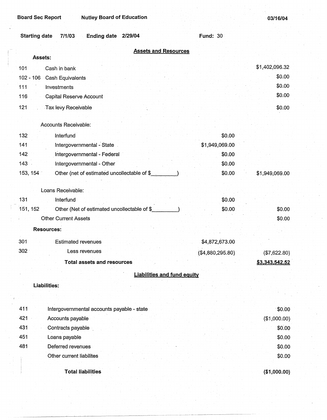## **Board Sec Report Mutley Board of Education**

| 03/16/04 |  |  |  |  |
|----------|--|--|--|--|
|----------|--|--|--|--|

| <b>Starting date</b><br>7/1/03<br><b>Ending date</b><br>2/29/04 | <b>Fund: 30</b>  |                |
|-----------------------------------------------------------------|------------------|----------------|
| <b>Assets and Resources</b>                                     |                  |                |
| Assets:                                                         |                  |                |
| 101<br>Cash in bank                                             |                  | \$1,402,096.32 |
| $102 - 106$<br>Cash Equivalents                                 |                  | \$0.00         |
| 111<br>Investments                                              |                  | \$0.00         |
| 116<br>Capital Reserve Account                                  |                  | \$0.00         |
| 121<br>Tax levy Receivable                                      |                  | \$0.00         |
| Accounts Receivable:                                            |                  |                |
| 132<br>Interfund                                                | \$0.00           |                |
| Intergovernmental - State<br>141                                | \$1,949,069.00   |                |
| Intergovernmental - Federal<br>142                              | \$0.00           |                |
| 143<br>Intergovernmental - Other                                | \$0.00           |                |
| 153, 154<br>Other (net of estimated uncollectable of \$         | \$0.00           | \$1,949,069.00 |
| Loans Receivable:                                               |                  |                |
| 131<br>Interfund                                                | \$0.00           |                |
| Other (Net of estimated uncollectable of \$<br>151, 152         | \$0.00           | \$0.00         |
| <b>Other Current Assets</b>                                     |                  | \$0.00         |
| <b>Resources:</b>                                               |                  |                |
|                                                                 |                  |                |
| 301<br><b>Estimated revenues</b>                                | \$4,872,673.00   |                |
| 302 <sub>1</sub><br>Less revenues                               | (\$4,880,295.80) | (\$7,622.80)   |
| <b>Total assets and resources</b>                               |                  | \$3,343,542.52 |
| <b>Liabilities and fund equity</b>                              |                  |                |
| <b>Liabilities:</b>                                             |                  |                |
|                                                                 |                  |                |
| 411<br>Intergovernmental accounts payable - state               |                  | \$0.00         |
| 421<br>Accounts payable                                         |                  | (\$1,000.00)   |
| 431<br>Contracts payable                                        |                  | \$0.00         |
| 451<br>Loans payable                                            |                  | \$0.00         |
| 481<br>Deferred revenues                                        |                  | \$0.00         |
| Other current liabilites                                        |                  | \$0.00         |
| <b>Total liabilities</b>                                        |                  | (\$1,000.00)   |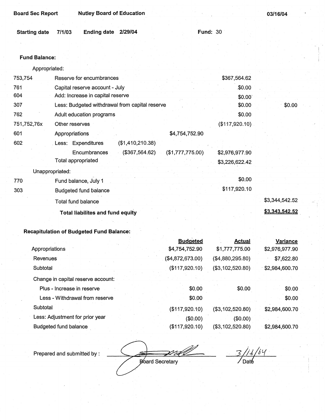| <b>Board Sec Report</b> | <b>Nutley Board of Education</b>                |                  |                | 03/16/04       |
|-------------------------|-------------------------------------------------|------------------|----------------|----------------|
| <b>Starting date</b>    | <b>Ending date</b><br>2/29/04<br>7/1/03         | <b>Fund: 30</b>  |                |                |
|                         |                                                 |                  |                |                |
| <b>Fund Balance:</b>    |                                                 |                  |                |                |
| Appropriated:           |                                                 |                  |                |                |
| 753,754                 | Reserve for encumbrances                        |                  | \$367,564.62   |                |
| 761                     | Capital reserve account - July                  |                  | \$0.00         |                |
| 604                     | Add: Increase in capital reserve                |                  | \$0.00         |                |
| 307                     | Less: Budgeted withdrawal from capital reserve  |                  | \$0.00         | \$0.00         |
| 762                     | Adult education programs                        |                  | \$0.00         |                |
| 751,752,76x             | Other reserves                                  |                  | (\$117,920.10) |                |
| 601                     | Appropriations                                  | \$4,754,752.90   |                |                |
| 602                     | (\$1,410,210.38)<br>Less: Expenditures          |                  |                |                |
|                         | (\$367,564.62)<br>Encumbrances                  | (\$1,777,775.00) | \$2,976,977.90 |                |
|                         | <b>Total appropriated</b>                       |                  | \$3,226,622.42 |                |
|                         | Unappropriated:                                 |                  |                |                |
| 770                     | Fund balance, July 1                            |                  | \$0.00         |                |
| 303                     | <b>Budgeted fund balance</b>                    |                  | \$117,920.10   |                |
|                         | <b>Total fund balance</b>                       |                  |                | \$3,344,542.52 |
|                         | <b>Total liabilites and fund equity</b>         |                  |                | \$3,343,542.52 |
|                         | <b>Recapitulation of Budgeted Fund Balance:</b> |                  |                |                |

#### **Recapitulation of Budgeted Fund Balance:**

|                                    | <b>Budgeted</b>  | <b>Actual</b>    | Variance       |
|------------------------------------|------------------|------------------|----------------|
| Appropriations                     | \$4,754,752.90   | \$1,777,775.00   | \$2,976,977.90 |
| <b>Revenues</b>                    | (\$4,872,673.00) | (\$4,880,295.80) | \$7,622.80     |
| Subtotal                           | (\$117,920.10)   | (\$3,102,520.80) | \$2,984,600.70 |
| Change in capital reserve account: |                  |                  |                |
| Plus - Increase in reserve         | \$0.00           | \$0.00           | \$0.00         |
| Less - Withdrawal from reserve     | \$0.00           |                  | \$0.00         |
| Subtotal                           | (\$117,920.10)   | (\$3,102,520.80) | \$2,984,600.70 |
| Less: Adjustment for prior year    | (\$0.00)         | (\$0.00)         |                |
| <b>Budgeted fund balance</b>       | (\$117,920.10)   | (\$3,102,520.80) | \$2,984,600.70 |

Board Secretary

 $\delta$  Y ∕ Daté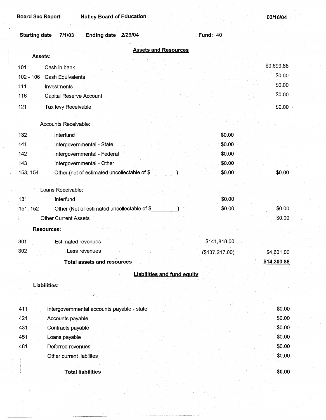| Board Sec Report | <b>Nutley Board of Education</b> |
|------------------|----------------------------------|
|                  |                                  |

| <b>Starting date</b> | 7/1/03<br>Ending date 2/29/04               |                                    | <b>Fund: 40</b> |                  |
|----------------------|---------------------------------------------|------------------------------------|-----------------|------------------|
| Assets:              |                                             | <b>Assets and Resources</b>        |                 |                  |
| 101                  | Cash in bank                                |                                    |                 | \$9,699.88       |
| $102 - 106$          | Cash Equivalents                            |                                    |                 | \$0.00           |
| 111                  | Investments                                 |                                    |                 | \$0.00           |
| 116                  | Capital Reserve Account                     |                                    |                 | \$0.00           |
| 121                  |                                             |                                    |                 | $$0.00 \&$       |
|                      | Tax levy Receivable                         |                                    |                 |                  |
|                      | Accounts Receivable:                        |                                    |                 |                  |
| 132                  | Interfund                                   |                                    | \$0.00          |                  |
| 141                  | Intergovernmental - State                   |                                    | \$0.00          |                  |
| 142                  | Intergovernmental - Federal                 |                                    | \$0.00          |                  |
| 143                  | Intergovernmental - Other                   |                                    | \$0.00          |                  |
| 153, 154             | Other (net of estimated uncollectable of \$ |                                    | \$0.00          | \$0.00           |
|                      |                                             |                                    |                 |                  |
|                      | Loans Receivable:                           |                                    |                 |                  |
| 131                  | Interfund                                   |                                    | \$0.00          |                  |
| 151, 152             | Other (Net of estimated uncollectable of \$ |                                    | \$0.00          | \$0.00           |
|                      | <b>Other Current Assets</b>                 |                                    |                 | \$0.00           |
|                      | <b>Resources:</b>                           |                                    |                 |                  |
| 301                  | <b>Estimated revenues</b>                   |                                    | \$141,818.00    |                  |
| 302                  | Less revenues                               |                                    | (\$137,217.00)  | \$4,601.00       |
|                      | <b>Total assets and resources</b>           |                                    |                 | \$14,300.88      |
|                      |                                             | <b>Liabilities and fund equity</b> |                 |                  |
|                      | <b>Liabilities:</b>                         |                                    |                 |                  |
|                      |                                             |                                    |                 |                  |
|                      |                                             |                                    |                 |                  |
| 411                  | Intergovernmental accounts payable - state  |                                    |                 | \$0.00           |
| 421                  | Accounts payable                            |                                    |                 | \$0.00           |
| 431<br>451           | Contracts payable                           |                                    |                 | \$0.00<br>\$0.00 |
| 481                  | Loans payable<br>Deferred revenues          |                                    |                 | \$0.00           |
|                      | Other current liabilites                    |                                    |                 | \$0.00           |
|                      |                                             |                                    |                 |                  |
|                      | <b>Total liabilities</b>                    |                                    |                 | \$0.00           |

 $~\frac{1}{2}$  .  $~\frac{1}{2}$  ,  $~\frac{1}{2}$  ,  $~\frac{1}{2}$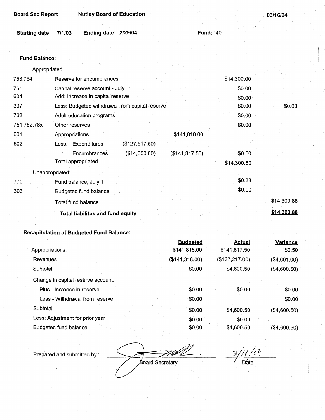| Board Sec Report | <b>Nutley Board of Education</b> |
|------------------|----------------------------------|
|                  |                                  |

. **03/16/04** 

| Starting date 7/1/03 | Ending date 2/29/04 |  | <b>Fund: 40</b> |
|----------------------|---------------------|--|-----------------|
|                      |                     |  |                 |

## **Fund Balance:**

Appropriated:

| 753,754         | Reserve for encumbrances                         | \$14,300.00 |        |
|-----------------|--------------------------------------------------|-------------|--------|
| 761             | Capital reserve account - July                   | \$0.00      |        |
| 604             | Add: Increase in capital reserve                 | \$0.00      |        |
| 307             | Less: Budgeted withdrawal from capital reserve   | \$0.00      | \$0.00 |
| 762             | Adult education programs                         | \$0.00      |        |
| 751,752,76x     | Other reserves                                   | \$0.00      |        |
| 601             | \$141,818.00<br>Appropriations                   |             |        |
| 602             | Less: Expenditures<br>(\$127,517.50)             |             |        |
|                 | Encumbrances<br>(\$14,300.00)<br>(\$141, 817.50) | \$0.50      |        |
|                 | Total appropriated                               | \$14,300.50 |        |
| Unappropriated: |                                                  |             |        |
| 770             | Fund balance, July 1                             | \$0.38      |        |
| 303             | <b>Budgeted fund balance</b>                     | \$0.00      |        |
|                 | Total fund balance                               | \$14,300.88 |        |
|                 | <b>Total liabilites and fund equity</b>          | \$14,300.88 |        |
|                 |                                                  |             |        |

# **Recapitulation of Budgeted Fund Balance:**

|                                    | <b>Budgeted</b>   | <b>Actual</b>  | <b>Variance</b> |
|------------------------------------|-------------------|----------------|-----------------|
| Appropriations                     | \$141,818.00      | \$141,817.50   | \$0.50          |
| Revenues                           | $($ \$141,818.00) | (\$137,217.00) | (\$4,601.00)    |
| Subtotal                           | \$0.00            | \$4,600.50     | (\$4,600.50)    |
| Change in capital reserve account: |                   |                |                 |
| Plus - Increase in reserve         | \$0.00            | \$0.00         | \$0.00          |
| Less - Withdrawal from reserve     | \$0.00            |                | \$0.00          |
| Subtotal                           | \$0.00            | \$4,600.50     | (\$4,600.50)    |
| Less: Adjustment for prior year    | \$0.00            | \$0.00         |                 |
| <b>Budgeted fund balance</b>       | \$0.00            | \$4,600.50     | (\$4,600.50)    |

Board Secretary

 $\mu$  /or  $\overline{\mathcal{Z}}$ / Date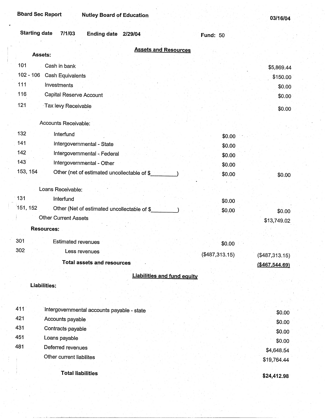**03/16/04** 

| <b>Starting date</b><br>7/1/03<br>Ending date 2/29/04   | <b>Fund: 50</b> |                                  |
|---------------------------------------------------------|-----------------|----------------------------------|
| <b>Assets and Resources</b><br>Assets:                  |                 |                                  |
| 101<br>Cash in bank                                     |                 |                                  |
| $102 - 106$<br><b>Cash Equivalents</b>                  |                 | \$5,869.44                       |
| 111<br>Investments                                      |                 | \$150.00                         |
| 116<br>Capital Reserve Account                          |                 | \$0.00<br>\$0.00                 |
| 121                                                     |                 |                                  |
| Tax levy Receivable                                     |                 | \$0.00                           |
| Accounts Receivable:                                    |                 |                                  |
| 132<br>Interfund                                        | \$0.00          |                                  |
| 141<br>Intergovernmental - State                        | \$0.00          |                                  |
| 142<br>Intergovernmental - Federal                      | \$0.00          |                                  |
| 143<br>Intergovernmental - Other                        | \$0.00          |                                  |
| 153, 154<br>Other (net of estimated uncollectable of \$ | \$0.00          | \$0.00                           |
| Loans Receivable:                                       |                 |                                  |
| 131<br>Interfund                                        | \$0.00          |                                  |
| 151, 152<br>Other (Net of estimated uncollectable of \$ | \$0.00          |                                  |
| <b>Other Current Assets</b>                             |                 | \$0.00<br>\$13,749.02            |
| <b>Resources:</b>                                       |                 |                                  |
| 301<br><b>Estimated revenues</b>                        |                 |                                  |
| 302<br>Less revenues                                    | \$0.00          |                                  |
| Total assets and resources                              | $(*487,313.15)$ | (\$487,313.15)<br>(\$467,544.69) |
|                                                         |                 |                                  |
| <b>Liabilities and fund equity</b><br>Liabilities:      |                 |                                  |
|                                                         |                 |                                  |
|                                                         |                 |                                  |
| 411<br>Intergovernmental accounts payable - state       |                 | \$0.00                           |
| 421<br>Accounts payable                                 |                 | \$0.00                           |
| 431<br>Contracts payable                                |                 | \$0.00                           |
| 451<br>Loans payable                                    |                 | \$0.00                           |
| 481<br>Deferred revenues                                |                 | \$4,648.54                       |
| Other current liabilites                                |                 | \$19,764.44                      |
| <b>Total liabilities</b>                                |                 | \$24,412.98                      |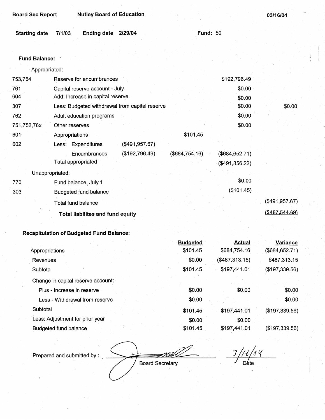Board Sec Report **Nutley Board of Education** 

|                      |                     | <b>Fund: 50</b> |
|----------------------|---------------------|-----------------|
| Starting date 7/1/03 | Ending date 2/29/04 |                 |

#### **Fund Balance:**

Appropriated:

| 753,754     | Reserve for encumbrances                       | \$192,796.49                        |                   |
|-------------|------------------------------------------------|-------------------------------------|-------------------|
| 761         | Capital reserve account - July                 | \$0.00                              |                   |
| 604         | Add: Increase in capital reserve               | \$0.00                              |                   |
| 307         | Less: Budgeted withdrawal from capital reserve | \$0.00                              | \$0.00            |
| 762         | Adult education programs                       | \$0.00                              |                   |
| 751,752,76x | Other reserves                                 | \$0.00                              |                   |
| 601         | Appropriations                                 | \$101.45                            |                   |
| 602         | (\$491,957.67)<br>Less: Expenditures           |                                     |                   |
|             | (\$192,796.49)<br>Encumbrances                 | (\$684,754.16)<br>$($ \$684,652.71) |                   |
|             | Total appropriated                             | (\$491,856.22)                      |                   |
|             | Unappropriated:                                |                                     |                   |
| 770         | Fund balance, July 1                           | \$0.00                              |                   |
| 303         | Budgeted fund balance                          | (\$101.45)                          |                   |
|             | Total fund balance                             |                                     | (\$491,957.67)    |
|             | <b>Total liabilites and fund equity</b>        |                                     | $($ \$467,544.69) |
|             |                                                |                                     |                   |

# **Recapitulation of Budgeted Fund Balance:**

|                                    | <b>Budgeted</b> | Actual         | Variance        |
|------------------------------------|-----------------|----------------|-----------------|
| Appropriations                     | \$101.45        | \$684,754.16   | (\$684, 652.71) |
| Revenues                           | \$0.00          | (\$487,313.15) | \$487,313.15    |
| Subtotal                           | \$101.45        | \$197,441.01   | (\$197,339.56)  |
| Change in capital reserve account: |                 |                |                 |
| Plus - Increase in reserve         | \$0.00          | \$0.00         | \$0.00          |
| Less - Withdrawal from reserve     | \$0.00          |                | \$0.00          |
| Subtotal                           | \$101.45        | \$197,441.01   | (\$197,339.56)  |
| Less: Adjustment for prior year    | \$0.00          | \$0.00         |                 |
| <b>Budgeted fund balance</b>       | \$101.45        | \$197,441.01   | (\$197,339.56)  |

Prepared and submitted by :

FHill

3/1-t/o'l(<br>Date

Board Secretary

**03/16/04**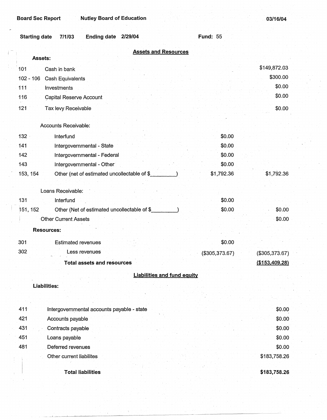**\$183,758.26** 

| <b>Starting date</b><br><b>Ending date</b><br>7/1/03<br>2/29/04 | <b>Fund: 55</b> |                |
|-----------------------------------------------------------------|-----------------|----------------|
| <b>Assets and Resources</b><br>Assets:                          |                 |                |
|                                                                 |                 | \$149,872.03   |
| 101<br>Cash in bank                                             |                 | \$300.00       |
| $102 - 106$<br>Cash Equivalents                                 |                 | \$0.00         |
| 111<br>Investments                                              |                 | \$0.00         |
| 116<br>Capital Reserve Account                                  |                 |                |
| 121<br>Tax levy Receivable                                      |                 | \$0.00         |
| Accounts Receivable:                                            |                 |                |
| $132 -$<br>Interfund                                            | \$0.00          |                |
| 141<br>Intergovernmental - State                                | \$0.00          |                |
| 142<br>Intergovernmental - Federal                              | \$0.00          |                |
| 143<br>Intergovernmental - Other                                | \$0.00          |                |
| 153, 154<br>Other (net of estimated uncollectable of \$         | \$1,792.36      | \$1,792.36     |
|                                                                 |                 |                |
| Loans Receivable:                                               |                 |                |
| 131<br>Interfund                                                | \$0.00          |                |
| Other (Net of estimated uncollectable of \$<br>151, 152         | \$0.00          | \$0.00         |
| <b>Other Current Assets</b>                                     |                 | \$0.00         |
| <b>Resources:</b>                                               |                 |                |
| 301<br><b>Estimated revenues</b>                                | \$0.00          |                |
| 302<br>Less revenues                                            | (\$305,373.67)  | (\$305,373.67) |
| <b>Total assets and resources</b>                               |                 | (\$153,409.28) |
| <b>Liabilities and fund equity</b>                              |                 |                |
| <b>Liabilities:</b>                                             |                 |                |
|                                                                 |                 |                |
| 411<br>Intergovernmental accounts payable - state               |                 | \$0.00         |
| 421<br>Accounts payable                                         |                 | \$0.00         |
| 431<br>Contracts payable                                        |                 | \$0.00         |
| 451<br>Loans payable                                            |                 | \$0.00         |
| 481<br>Deferred revenues                                        |                 | \$0.00         |
| Other current liabilites                                        |                 | \$183,758.26   |
|                                                                 |                 |                |

**Total liabilities** 

\_\_ , ---------"~---~~~-----~---~